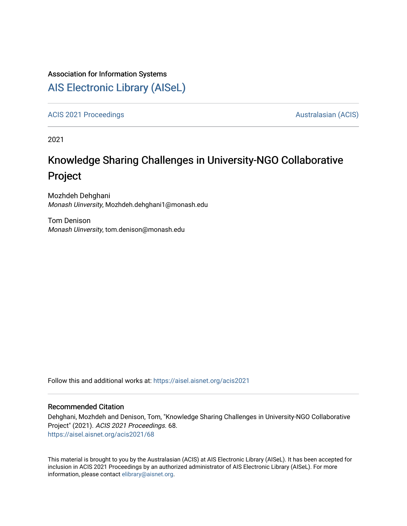### Association for Information Systems

## [AIS Electronic Library \(AISeL\)](https://aisel.aisnet.org/)

[ACIS 2021 Proceedings](https://aisel.aisnet.org/acis2021) **AUSTRALIA CIS** Australasian (ACIS)

2021

# Knowledge Sharing Challenges in University-NGO Collaborative Project

Mozhdeh Dehghani Monash Uinversity, Mozhdeh.dehghani1@monash.edu

Tom Denison Monash Uinversity, tom.denison@monash.edu

Follow this and additional works at: [https://aisel.aisnet.org/acis2021](https://aisel.aisnet.org/acis2021?utm_source=aisel.aisnet.org%2Facis2021%2F68&utm_medium=PDF&utm_campaign=PDFCoverPages) 

#### Recommended Citation

Dehghani, Mozhdeh and Denison, Tom, "Knowledge Sharing Challenges in University-NGO Collaborative Project" (2021). ACIS 2021 Proceedings. 68. [https://aisel.aisnet.org/acis2021/68](https://aisel.aisnet.org/acis2021/68?utm_source=aisel.aisnet.org%2Facis2021%2F68&utm_medium=PDF&utm_campaign=PDFCoverPages)

This material is brought to you by the Australasian (ACIS) at AIS Electronic Library (AISeL). It has been accepted for inclusion in ACIS 2021 Proceedings by an authorized administrator of AIS Electronic Library (AISeL). For more information, please contact [elibrary@aisnet.org.](mailto:elibrary@aisnet.org%3E)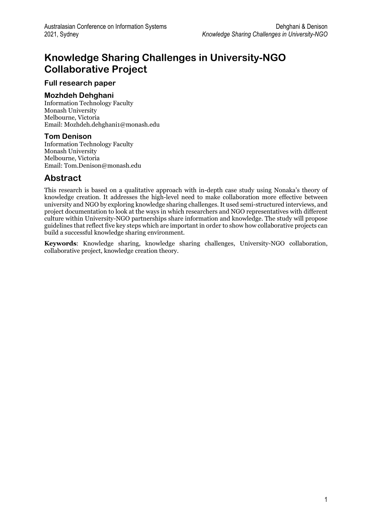## **Knowledge Sharing Challenges in University-NGO Collaborative Project**

#### **Full research paper**

#### **Mozhdeh Dehghani**

Information Technology Faculty Monash University Melbourne, Victoria Email: Mozhdeh.dehghani1@monash.edu

#### **Tom Denison**

Information Technology Faculty Monash University Melbourne, Victoria Email: Tom.Denison@monash.edu

### **Abstract**

This research is based on a qualitative approach with in-depth case study using Nonaka's theory of knowledge creation. It addresses the high-level need to make collaboration more effective between university and NGO by exploring knowledge sharing challenges. It used semi-structured interviews, and project documentation to look at the ways in which researchers and NGO representatives with different culture within University-NGO partnerships share information and knowledge. The study will propose guidelines that reflect five key steps which are important in order to show how collaborative projects can build a successful knowledge sharing environment.

**Keywords**: Knowledge sharing, knowledge sharing challenges, University-NGO collaboration, collaborative project, knowledge creation theory.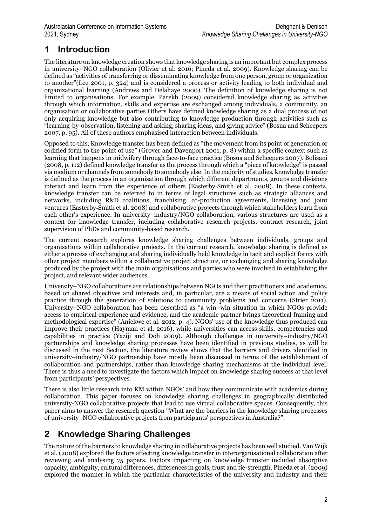## **1 Introduction**

The literature on knowledge creation shows that knowledge sharing is an important but complex process in university–NGO collaboration (Olivier et al. 2016; Pineda et al. 2009). Knowledge sharing can be defined as "activities of transferring or disseminating knowledge from one person, group or organization to another"(Lee 2001, p. 324) and is considered a process or activity leading to both individual and organizational learning (Andrews and Delahaye 2000). The definition of knowledge sharing is not limited to organisations. For example, Parekh (2009) considered knowledge sharing as activities through which information, skills and expertise are exchanged among individuals, a community, an organisation or collaborative parties Others have defined knowledge sharing as a dual process of not only acquiring knowledge but also contributing to knowledge production through activities such as "learning-by-observation, listening and asking, sharing ideas, and giving advice" (Bosua and Scheepers 2007, p. 95). All of these authors emphasised interaction between individuals.

Opposed to this, Knowledge transfer has been defined as "the movement from its point of generation or codified form to the point of use" (Grover and Davenport 2001, p. 8) within a specific context such as learning that happens in midwifery through face-to-face practice (Bosua and Scheepers 2007). Bolisani (2008, p. 112) defined knowledge transfer as the process through which a "piece of knowledge" is passed via medium or channels from somebody to somebody else. In the majority of studies, knowledge transfer is defined as the process in an organisation through which different departments, groups and divisions interact and learn from the experience of others (Easterby‐Smith et al. 2008). In these contexts, knowledge transfer can be referred to in terms of legal structures such as strategic alliances and networks, including R&D coalitions, franchising, co-production agreements, licensing and joint ventures (Easterby‐Smith et al. 2008) and collaborative projects through which stakeholders learn from each other's experience. In university–industry/NGO collaboration, various structures are used as a context for knowledge transfer, including collaborative research projects, contract research, joint supervision of PhDs and community-based research.

The current research explores knowledge sharing challenges between individuals, groups and organisations within collaborative projects. In the current research, knowledge sharing is defined as either a process of exchanging and sharing individually held knowledge in tacit and explicit forms with other project members within a collaborative project structure, or exchanging and sharing knowledge produced by the project with the main organisations and parties who were involved in establishing the project, and relevant wider audiences.

University–NGO collaborations are relationships between NGOs and their practitioners and academics, based on shared objectives and interests and, in particular, are a means of social action and policy practice through the generation of solutions to community problems and concerns (Strier 2011). University–NGO collaboration has been described as "a win–win situation in which NGOs provide access to empirical experience and evidence, and the academic partner brings theoretical framing and methodological expertise" (Aniekwe et al. 2012, p. 4). NGOs' use of the knowledge thus produced can improve their practices (Hayman et al. 2016), while universities can access skills, competencies and capabilities in practice (Yaziji and Doh 2009). Although challenges in university–industry/NGO partnerships and knowledge sharing processes have been identified in previous studies, as will be discussed in the next Section, the literature review shows that the barriers and drivers identified in university–industry/NGO partnership have mostly been discussed in terms of the establishment of collaboration and partnerships, rather than knowledge sharing mechanisms at the individual level. There is thus a need to investigate the factors which impact on knowledge sharing success at that level from participants' perspectives.

There is also little research into KM within NGOs' and how they communicate with academics during collaboration. This paper focuses on knowledge sharing challenges in geographically distributed university-NGO collaborative projects that lead to use virtual collaborative spaces. Consequently, this paper aims to answer the research question "What are the barriers in the knowledge sharing processes of university–NGO collaborative projects from participants' perspectives in Australia?".

## **2 Knowledge Sharing Challenges**

The nature of the barriers to knowledge sharing in collaborative projects has been well studied. Van Wijk et al. (2008) explored the factors affecting knowledge transfer in interorganisational collaboration after reviewing and analysing 75 papers. Factors impacting on knowledge transfer included absorptive capacity, ambiguity, cultural differences, differences in goals, trust and tie-strength. Pineda et al. (2009) explored the manner in which the particular characteristics of the university and industry and their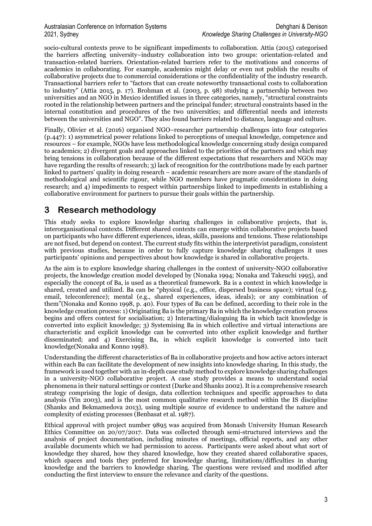socio-cultural contexts prove to be significant impediments to collaboration. Attia (2015) categorised the barriers affecting university–industry collaboration into two groups: orientation-related and transaction-related barriers. Orientation-related barriers refer to the motivations and concerns of academics in collaborating. For example, academics might delay or even not publish the results of collaborative projects due to commercial considerations or the confidentiality of the industry research. Transactional barriers refer to "factors that can create noteworthy transactional costs to collaboration to industry" (Attia 2015, p. 17). Brohman et al. (2003, p. 98) studying a partnership between two universities and an NGO in Mexico identified issues in three categories, namely, "structural constraints rooted in the relationship between partners and the principal funder; structural constraints based in the internal constitution and procedures of the two universities; and differential needs and interests between the universities and NGO". They also found barriers related to distance, language and culture.

Finally, Olivier et al. (2016) organised NGO–researcher partnership challenges into four categories (p.447): 1) asymmetrical power relations linked to perceptions of unequal knowledge, competence and resources – for example, NGOs have less methodological knowledge concerning study design compared to academics; 2) divergent goals and approaches linked to the priorities of the partners and which may bring tensions in collaboration because of the different expectations that researchers and NGOs may have regarding the results of research; 3) lack of recognition for the contributions made by each partner linked to partners' quality in doing research – academic researchers are more aware of the standards of methodological and scientific rigour, while NGO members have pragmatic considerations in doing research; and 4) impediments to respect within partnerships linked to impediments in establishing a collaborative environment for partners to pursue their goals within the partnership.

## **3 Research methodology**

This study seeks to explore knowledge sharing challenges in collaborative projects, that is, interorganisational contexts. Different shared contexts can emerge within collaborative projects based on participants who have different experiences, ideas, skills, passions and tensions. These relationships are not fixed, but depend on context. The current study fits within the interpretivist paradigm, consistent with previous studies, because in order to fully capture knowledge sharing challenges it uses participants' opinions and perspectives about how knowledge is shared in collaborative projects.

As the aim is to explore knowledge sharing challenges in the context of university-NGO collaborative projects, the knowledge creation model developed by (Nonaka 1994; Nonaka and Takeuchi 1995), and especially the concept of Ba, is used as a theoretical framework. Ba is a context in which knowledge is shared, created and utilized. Ba can be "physical (e.g., office, dispersed business space); virtual (e.g. email, teleconference); mental (e.g., shared experiences, ideas, ideals); or any combination of them"(Nonaka and Konno 1998, p. 40). Four types of Ba can be defined, according to their role in the knowledge creation process: 1) Originating Ba is the primary Ba in which the knowledge creation process begins and offers context for socialisation; 2) Interacting/dialoguing Ba in which tacit knowledge is converted into explicit knowledge; 3) Systemising Ba in which collective and virtual interactions are characteristic and explicit knowledge can be converted into other explicit knowledge and further disseminated; and 4) Exercising Ba, in which explicit knowledge is converted into tacit knowledge(Nonaka and Konno 1998).

Understanding the different characteristics of Ba in collaborative projects and how active actors interact within each Ba can facilitate the development of new insights into knowledge sharing. In this study, the framework is used together with an in-depth case study method to explore knowledge sharing challenges in a university-NGO collaborative project. A case study provides a means to understand social phenomena in their natural settings or context (Darke and Shanks 2002). It is a comprehensive research strategy comprising the logic of design, data collection techniques and specific approaches to data analysis (Yin 2003), and is the most common qualitative research method within the IS discipline (Shanks and Bekmamedova 2013), using multiple source of evidence to understand the nature and complexity of existing processes (Benbasat et al. 1987).

Ethical approval with project number 9895 was acquired from Monash University Human Research Ethics Committee on 20/07/2017. Data was collected through semi-structured interviews and the analysis of project documentation, including minutes of meetings, official reports, and any other available documents which we had permission to access. Participants were asked about what sort of knowledge they shared, how they shared knowledge, how they created shared collaborative spaces, which spaces and tools they preferred for knowledge sharing, limitations/difficulties in sharing knowledge and the barriers to knowledge sharing. The questions were revised and modified after conducting the first interview to ensure the relevance and clarity of the questions.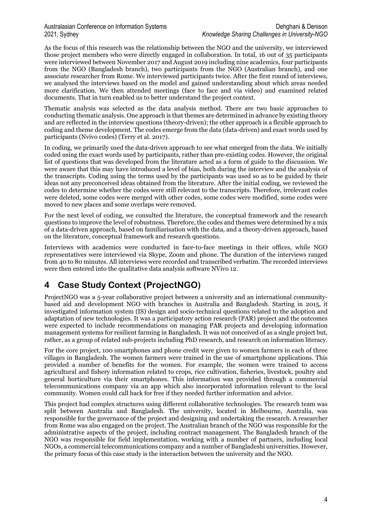As the focus of this research was the relationship between the NGO and the university, we interviewed those project members who were directly engaged in collaboration. In total, 16 out of 35 participants were interviewed between November 2017 and August 2019 including nine academics, four participants from the NGO (Bangladesh branch), two participants from the NGO (Australian branch), and one associate researcher from Rome. We interviewed participants twice. After the first round of interviews, we analysed the interviews based on the model and gained understanding about which areas needed more clarification. We then attended meetings (face to face and via video) and examined related documents. That in turn enabled us to better understand the project context.

Thematic analysis was selected as the data analysis method. There are two basic approaches to conducting thematic analysis. One approach is that themes are determined in advance by existing theory and are reflected in the interview questions (theory-driven); the other approach is a flexible approach to coding and theme development. The codes emerge from the data (data-driven) and exact words used by participants (Nvivo codes) (Terry et al. 2017).

In coding, we primarily used the data-driven approach to see what emerged from the data. We initially coded using the exact words used by participants, rather than pre-existing codes. However, the original list of questions that was developed from the literature acted as a form of guide to the discussion. We were aware that this may have introduced a level of bias, both during the interview and the analysis of the transcripts. Coding using the terms used by the participants was used so as to be guided by their ideas not any preconceived ideas obtained from the literature. After the initial coding, we reviewed the codes to determine whether the codes were still relevant to the transcripts. Therefore, irrelevant codes were deleted, some codes were merged with other codes, some codes were modified, some codes were moved to new places and some overlaps were removed.

For the next level of coding, we consulted the literature, the conceptual framework and the research questions to improve the level of robustness. Therefore, the codes and themes were determined by a mix of a data-driven approach, based on familiarisation with the data, and a theory-driven approach, based on the literature, conceptual framework and research questions.

Interviews with academics were conducted in face-to-face meetings in their offices, while NGO representatives were interviewed via Skype, Zoom and phone. The duration of the interviews ranged from 40 to 80 minutes. All interviews were recorded and transcribed verbatim. The recorded interviews were then entered into the qualitative data analysis software NVivo 12.

## **4 Case Study Context (ProjectNGO)**

ProjectNGO was a 5-year collaborative project between a university and an international communitybased aid and development NGO with branches in Australia and Bangladesh. Starting in 2015, it investigated information system (IS) design and socio-technical questions related to the adoption and adaptation of new technologies. It was a participatory action research (PAR) project and the outcomes were expected to include recommendations on managing PAR projects and developing information management systems for resilient farming in Bangladesh. It was not conceived of as a single project but, rather, as a group of related sub-projects including PhD research, and research on information literacy.

For the core project, 100 smartphones and phone credit were given to women farmers in each of three villages in Bangladesh. The women farmers were trained in the use of smartphone applications. This provided a number of benefits for the women. For example, the women were trained to access agricultural and fishery information related to crops, rice cultivation, fisheries, livestock, poultry and general horticulture via their smartphones. This information was provided through a commercial telecommunications company via an app which also incorporated information relevant to the local community. Women could call back for free if they needed further information and advice.

This project had complex structures using different collaborative technologies. The research team was split between Australia and Bangladesh. The university, located in Melbourne, Australia, was responsible for the governance of the project and designing and undertaking the research. A researcher from Rome was also engaged on the project. The Australian branch of the NGO was responsible for the administrative aspects of the project, including contract management. The Bangladesh branch of the NGO was responsible for field implementation, working with a number of partners, including local NGOs, a commercial telecommunications company and a number of Bangladeshi universities. However, the primary focus of this case study is the interaction between the university and the NGO.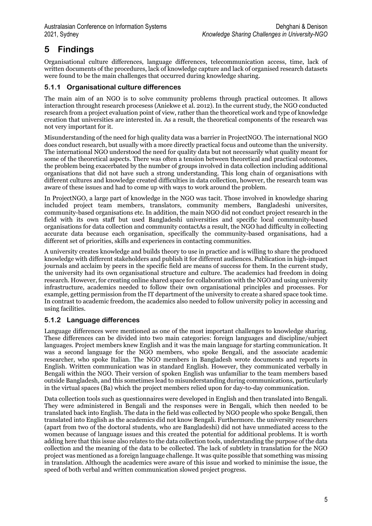## **5 Findings**

Organisational culture differences, language differences, telecommunication access, time, lack of written documents of the procedures, lack of knowledge capture and lack of organised research datasets were found to be the main challenges that occurred during knowledge sharing.

#### **5.1.1 Organisational culture differences**

The main aim of an NGO is to solve community problems through practical outcomes. It allows interaction throught research procesess (Aniekwe et al. 2012). In the current study, the NGO conducted research from a project evaluation point of view, rather than the theoretical work and type of knowledge creation that universities are interested in. As a result, the theoretical components of the research was not very important for it.

Misunderstanding of the need for high quality data was a barrier in ProjectNGO. The international NGO does conduct research, but usually with a more directly practical focus and outcome than the university. The international NGO understood the need for quality data but not necessarily what quality meant for some of the theoretical aspects. There was often a tension between theoretical and practical outcomes, the problem being exacerbated by the number of groups involved in data collection including additional organisations that did not have such a strong understanding. This long chain of organisations with different cultures and knowledge created difficulties in data collection, however, the research team was aware of these issues and had to come up with ways to work around the problem.

In ProjectNGO, a large part of knowledge in the NGO was tacit. Those involved in knowledge sharing included project team members, translators, community members, Bangladeshi universites, community-based organisations etc. In addition, the main NGO did not conduct project research in the field with its own staff but used Bangladeshi universities and specific local community-based organisations for data collection and community contactAs a result, the NGO had difficulty in collecting accurate data because each organisation, specifically the community-based organisations, had a different set of priorities, skills and experiences in contacting communities.

A university creates knowledge and builds theory to use in practice and is willing to share the produced knowledge with different stakeholders and publish it for different audiences. Publication in high-impact journals and acclaim by peers in the specific field are means of success for them. In the current study, the university had its own organisational structure and culture. The academics had freedom in doing research. However, for creating online shared space for collaboration with the NGO and using university infrastructure, academics needed to follow their own organisational principles and processes. For example, getting permission from the IT department of the university to create a shared space took time. In contrast to academic freedom, the academics also needed to follow university policy in accessing and using facilities.

### **5.1.2 Language differences**

Language differences were mentioned as one of the most important challenges to knowledge sharing. These differences can be divided into two main categories: foreign languages and discipline/subject languages. Project members knew English and it was the main language for starting communication. It was a second language for the NGO members, who spoke Bengali, and the associate academic researcher, who spoke Italian. The NGO members in Bangladesh wrote documents and reports in English. Written communication was in standard English. However, they communicated verbally in Bengali within the NGO. Their version of spoken English was unfamiliar to the team members based outside Bangladesh, and this sometimes lead to misunderstanding during communications, particularly in the virtual spaces (Ba) which the project members relied upon for day-to-day communication.

Data collection tools such as questionnaires were developed in English and then translated into Bengali. They were administered in Bengali and the responses were in Bengali, which then needed to be translated back into English. The data in the field was collected by NGO people who spoke Bengali, then translated into English as the academics did not know Bengali. Furthermore. the university researchers (apart from two of the doctoral students, who are Bangladeshi) did not have unmediated access to the women because of language issues and this created the potential for additional problems. It is worth adding here that this issue also relates to the data collection tools, understanding the purpose of the data collection and the meaning of the data to be collected. The lack of subtlety in translation for the NGO project was mentioned as a foreign language challenge. It was quite possible that something was missing in translation. Although the academics were aware of this issue and worked to minimise the issue, the speed of both verbal and written communication slowed project progress.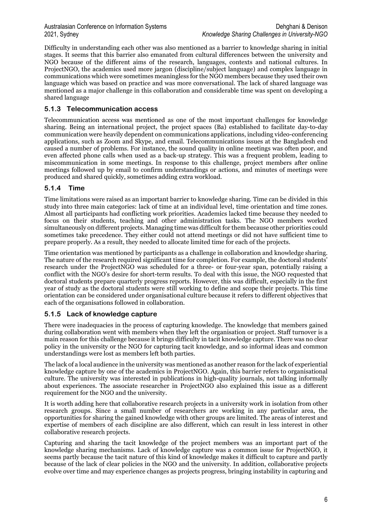Difficulty in understanding each other was also mentioned as a barrier to knowledge sharing in initial stages. It seems that this barrier also emanated from cultural differences between the university and NGO because of the different aims of the research, languages, contexts and national cultures. In ProjectNGO, the academics used more jargon (discipline/subject language) and complex language in communications which were sometimes meaningless for the NGO members because they used their own language which was based on practice and was more conversational. The lack of shared language was mentioned as a major challenge in this collaboration and considerable time was spent on developing a shared language

#### **5.1.3 Telecommunication access**

Telecommunication access was mentioned as one of the most important challenges for knowledge sharing. Being an international project, the project spaces (Ba) established to facilitate day-to-day communication were heavily dependent on communications applications, including video-conferencing applications, such as Zoom and Skype, and email. Telecommunications issues at the Bangladesh end caused a number of problems. For instance, the sound quality in online meetings was often poor, and even affected phone calls when used as a back-up strategy. This was a frequent problem, leading to miscommunication in some meetings. In response to this challenge, project members after online meetings followed up by email to confirm understandings or actions, and minutes of meetings were produced and shared quickly, sometimes adding extra workload.

#### **5.1.4 Time**

Time limitations were raised as an important barrier to knowledge sharing. Time can be divided in this study into three main categories: lack of time at an individual level, time orientation and time zones. Almost all participants had conflicting work priorities. Academics lacked time because they needed to focus on their students, teaching and other administration tasks. The NGO members worked simultaneously on different projects. Managing time was difficult for them because other priorities could sometimes take precedence. They either could not attend meetings or did not have sufficient time to prepare properly. As a result, they needed to allocate limited time for each of the projects.

Time orientation was mentioned by participants as a challenge in collaboration and knowledge sharing. The nature of the research required significant time for completion. For example, the doctoral students' research under the ProjectNGO was scheduled for a three- or four-year span, potentially raising a conflict with the NGO's desire for short-term results. To deal with this issue, the NGO requested that doctoral students prepare quarterly progress reports. However, this was difficult, especially in the first year of study as the doctoral students were still working to define and scope their projects. This time orientation can be considered under organisational culture because it refers to different objectives that each of the organisations followed in collaboration.

### **5.1.5 Lack of knowledge capture**

There were inadequacies in the process of capturing knowledge. The knowledge that members gained during collaboration went with members when they left the organisation or project. Staff turnover is a main reason for this challenge because it brings difficulty in tacit knowledge capture. There was no clear policy in the university or the NGO for capturing tacit knowledge, and so informal ideas and common understandings were lost as members left both parties.

The lack of a local audience in the university was mentioned as another reason for the lack of experiential knowledge capture by one of the academics in ProjectNGO. Again, this barrier refers to organisational culture. The university was interested in publications in high-quality journals, not talking informally about experiences. The associate researcher in ProjectNGO also explained this issue as a different requirement for the NGO and the university.

It is worth adding here that collaborative research projects in a university work in isolation from other research groups. Since a small number of researchers are working in any particular area, the opportunities for sharing the gained knowledge with other groups are limited. The areas of interest and expertise of members of each discipline are also different, which can result in less interest in other collaborative research projects.

Capturing and sharing the tacit knowledge of the project members was an important part of the knowledge sharing mechanisms. Lack of knowledge capture was a common issue for ProjectNGO, it seems partly because the tacit nature of this kind of knowledge makes it difficult to capture and partly because of the lack of clear policies in the NGO and the university. In addition, collaborative projects evolve over time and may experience changes as projects progress, bringing instability in capturing and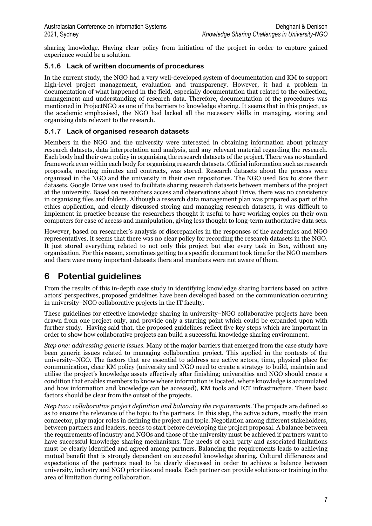sharing knowledge. Having clear policy from initiation of the project in order to capture gained experience would be a solution.

#### **5.1.6 Lack of written documents of procedures**

In the current study, the NGO had a very well-developed system of documentation and KM to support high-level project management, evaluation and transparency. However, it had a problem in documentation of what happened in the field, especially documentation that related to the collection, management and understanding of research data. Therefore, documentation of the procedures was mentioned in ProjectNGO as one of the barriers to knowledge sharing. It seems that in this project, as the academic emphasised, the NGO had lacked all the necessary skills in managing, storing and organising data relevant to the research.

#### **5.1.7 Lack of organised research datasets**

Members in the NGO and the university were interested in obtaining information about primary research datasets, data interpretation and analysis, and any relevant material regarding the research. Each body had their own policy in organising the research datasets of the project. There was no standard framework even within each body for organising research datasets. Official information such as research proposals, meeting minutes and contracts, was stored. Research datasets about the process were organised in the NGO and the university in their own repositories. The NGO used Box to store their datasets. Google Drive was used to facilitate sharing research datasets between members of the project at the university. Based on researchers access and observations about Drive, there was no consistency in organising files and folders. Although a research data management plan was prepared as part of the ethics application, and clearly discussed storing and managing research datasets, it was difficult to implement in practice because the researchers thought it useful to have working copies on their own computers for ease of access and manipulation, giving less thought to long-term authoritative data sets.

However, based on researcher's analysis of discrepancies in the responses of the academics and NGO representatives, it seems that there was no clear policy for recording the research datasets in the NGO. It just stored everything related to not only this project but also every task in Box, without any organisation. For this reason, sometimes getting to a specific document took time for the NGO members and there were many important datasets there and members were not aware of them.

## **6 Potential guidelines**

From the results of this in-depth case study in identifying knowledge sharing barriers based on active actors' perspectives, proposed guidelines have been developed based on the communication occurring in university–NGO collaborative projects in the IT faculty.

These guidelines for effective knowledge sharing in university–NGO collaborative projects have been drawn from one project only, and provide only a starting point which could be expanded upon with further study. Having said that, the proposed guidelines reflect five key steps which are important in order to show how collaborative projects can build a successful knowledge sharing environment.

*Step one: addressing generic issues.* Many of the major barriers that emerged from the case study have been generic issues related to managing collaboration project. This applied in the contexts of the university–NGO. The factors that are essential to address are active actors, time, physical place for communication, clear KM policy (university and NGO need to create a strategy to build, maintain and utilise the project's knowledge assets effectively after finishing; universities and NGO should create a condition that enables members to know where information is located, where knowledge is accumulated and how information and knowledge can be accessed), KM tools and ICT infrastructure. These basic factors should be clear from the outset of the projects.

*Step two: collaborative project definition and balancing the requirements*. The projects are defined so as to ensure the relevance of the topic to the partners. In this step, the active actors, mostly the main connector, play major roles in defining the project and topic. Negotiation among different stakeholders, between partners and leaders, needs to start before developing the project proposal. A balance between the requirements of industry and NGOs and those of the university must be achieved if partners want to have successful knowledge sharing mechanisms. The needs of each party and associated limitations must be clearly identified and agreed among partners. Balancing the requirements leads to achieving mutual benefit that is strongly dependent on successful knowledge sharing. Cultural differences and expectations of the partners need to be clearly discussed in order to achieve a balance between university, industry and NGO priorities and needs. Each partner can provide solutions or training in the area of limitation during collaboration.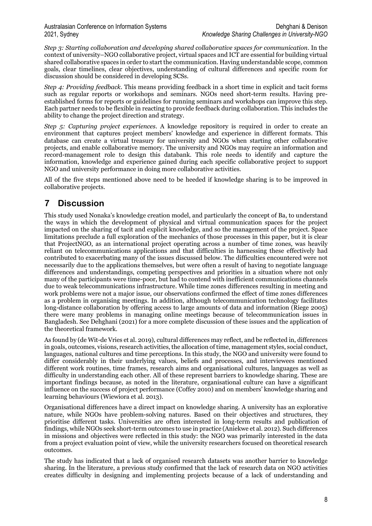*Step 3: Starting collaboration and developing shared collaborative spaces for communication.* In the context of university–NGO collaborative project, virtual spaces and ICT are essential for building virtual shared collaborative spaces in order to start the communication. Having understandable scope, common goals, clear timelines, clear objectives, understanding of cultural differences and specific room for discussion should be considered in developing SCSs.

*Step 4: Providing feedback*. This means providing feedback in a short time in explicit and tacit forms such as regular reports or workshops and seminars. NGOs need short-term results. Having preestablished forms for reports or guidelines for running seminars and workshops can improve this step. Each partner needs to be flexible in reacting to provide feedback during collaboration. This includes the ability to change the project direction and strategy.

*Step 5: Capturing project experiences*. A knowledge repository is required in order to create an environment that captures project members' knowledge and experience in different formats. This database can create a virtual treasury for university and NGOs when starting other collaborative projects, and enable collaborative memory. The university and NGOs may require an information and record-management role to design this databank. This role needs to identify and capture the information, knowledge and experience gained during each specific collaborative project to support NGO and university performance in doing more collaborative activities.

All of the five steps mentioned above need to be heeded if knowledge sharing is to be improved in collaborative projects.

## **7 Discussion**

This study used Nonaka's knowledge creation model, and particularly the concept of Ba, to understand the ways in which the development of physical and virtual communication spaces for the project impacted on the sharing of tacit and explicit knowledge, and so the management of the project. Space limitations preclude a full exploration of the mechanics of those processes in this paper, but it is clear that ProjectNGO, as an international project operating across a number of time zones, was heavily reliant on telecommunications applications and that difficulties in harnessing these effectively had contributed to exacerbating many of the issues discussed below. The difficulties encountered were not necessarily due to the applications themselves, but were often a result of having to negotiate language differences and understandings, competing perspectives and priorities in a situation where not only many of the participants were time-poor, but had to contend with inefficient communications channels due to weak telecommunications infrastructure. While time zones differences resulting in meeting and work problems were not a major issue, our observations confirmed the effect of time zones differences as a problem in organising meetings. In addition, although telecommunication technology facilitates long-distance collaboration by offering access to large amounts of data and information (Riege 2005) there were many problems in managing online meetings because of telecommunication issues in Bangladesh. See Dehghani (2021) for a more complete discussion of these issues and the application of the theoretical framework.

As found by (de Wit-de Vries et al. 2019), cultural differences may reflect, and be reflected in, differences in goals, outcomes, visions, research activities, the allocation of time, management styles, social conduct, languages, national cultures and time perceptions. In this study, the NGO and university were found to differ considerably in their underlying values, beliefs and processes, and interviewees mentioned different work routines, time frames, research aims and organisational cultures, languages as well as difficulty in understanding each other. All of these represent barriers to knowledge sharing. These are important findings because, as noted in the literature, organisational culture can have a significant influence on the success of project performance (Coffey 2010) and on members' knowledge sharing and learning behaviours (Wiewiora et al. 2013).

Organisational differences have a direct impact on knowledge sharing. A university has an explorative nature, while NGOs have problem-solving natures. Based on their objectives and structures, they prioritise different tasks. Universities are often interested in long-term results and publication of findings, while NGOs seek short-term outcomes to use in practice (Aniekwe et al. 2012). Such differences in missions and objectives were reflected in this study: the NGO was primarily interested in the data from a project evaluation point of view, while the university researchers focused on theoretical research outcomes.

The study has indicated that a lack of organised research datasets was another barrier to knowledge sharing. In the literature, a previous study confirmed that the lack of research data on NGO activities creates difficulty in designing and implementing projects because of a lack of understanding and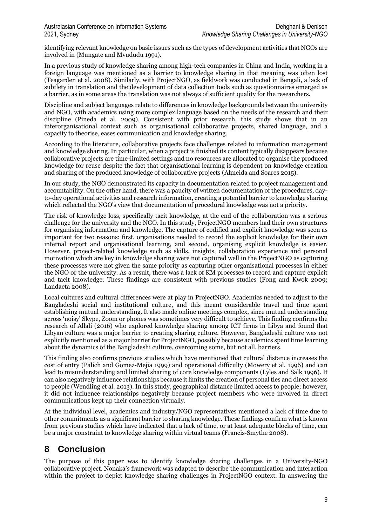identifying relevant knowledge on basic issues such as the types of development activities that NGOs are involved in (Mungate and Mvududu 1991).

In a previous study of knowledge sharing among high-tech companies in China and India, working in a foreign language was mentioned as a barrier to knowledge sharing in that meaning was often lost (Teagarden et al. 2008). Similarly, with ProjectNGO, as fieldwork was conducted in Bengali, a lack of subtlety in translation and the development of data collection tools such as questionnaires emerged as a barrier, as in some areas the translation was not always of sufficient quality for the researchers.

Discipline and subject languages relate to differences in knowledge backgrounds between the university and NGO, with academics using more complex language based on the needs of the research and their discipline (Pineda et al. 2009). Consistent with prior research, this study shows that in an interorganisational context such as organisational collaborative projects, shared language, and a capacity to theorise, eases communication and knowledge sharing.

According to the literature, collaborative projects face challenges related to information management and knowledge sharing. In particular, when a project is finished its content typically disappears because collaborative projects are time-limited settings and no resources are allocated to organise the produced knowledge for reuse despite the fact that organisational learning is dependent on knowledge creation and sharing of the produced knowledge of collaborative projects (Almeida and Soares 2015).

In our study, the NGO demonstrated its capacity in documentation related to project management and accountability. On the other hand, there was a paucity of written documentation of the procedures, dayto-day operational activities and research information, creating a potential barrier to knowledge sharing which reflected the NGO's view that documentation of procedural knowledge was not a priority.

The risk of knowledge loss, specifically tacit knowledge, at the end of the collaboration was a serious challenge for the university and the NGO. In this study, ProjectNGO members had their own structures for organising information and knowledge. The capture of codified and explicit knowledge was seen as important for two reasons: first, organisations needed to record the explicit knowledge for their own internal report and organisational learning, and second, organising explicit knowledge is easier. However, project-related knowledge such as skills, insights, collaboration experience and personal motivation which are key in knowledge sharing were not captured well in the ProjectNGO as capturing these processes were not given the same priority as capturing other organisational processes in either the NGO or the university. As a result, there was a lack of KM processes to record and capture explicit and tacit knowledge. These findings are consistent with previous studies (Fong and Kwok 2009; Landaeta 2008).

Local cultures and cultural differences were at play in ProjectNGO. Academics needed to adjust to the Bangladeshi social and institutional culture, and this meant considerable travel and time spent establishing mutual understanding. It also made online meetings complex, since mutual understanding across 'noisy' Skype, Zoom or phones was sometimes very difficult to achieve. This finding confirms the research of Allali (2016) who explored knowledge sharing among ICT firms in Libya and found that Libyan culture was a major barrier to creating sharing culture. However, Bangladeshi culture was not explicitly mentioned as a major barrier for ProjectNGO, possibly because academics spent time learning about the dynamics of the Bangladeshi culture, overcoming some, but not all, barriers.

This finding also confirms previous studies which have mentioned that cultural distance increases the cost of entry (Palich and Gomez-Mejia 1999) and operational difficulty (Mowery et al. 1996) and can lead to misunderstanding and limited sharing of core knowledge components (Lyles and Salk 1996). It can also negatively influence relationships because it limits the creation of personal ties and direct access to people (Wendling et al. 2013). In this study, geographical distance limited access to people; however, it did not influence relationships negatively because project members who were involved in direct communications kept up their connection virtually.

At the individual level, academics and industry/NGO representatives mentioned a lack of time due to other commitments as a significant barrier to sharing knowledge. These findings confirm what is known from previous studies which have indicated that a lack of time, or at least adequate blocks of time, can be a major constraint to knowledge sharing within virtual teams (Francis‐Smythe 2008).

## **8 Conclusion**

The purpose of this paper was to identify knowledge sharing challenges in a University-NGO collaborative project. Nonaka's framework was adapted to describe the communication and interaction within the project to depict knowledge sharing challenges in ProjectNGO context. In answering the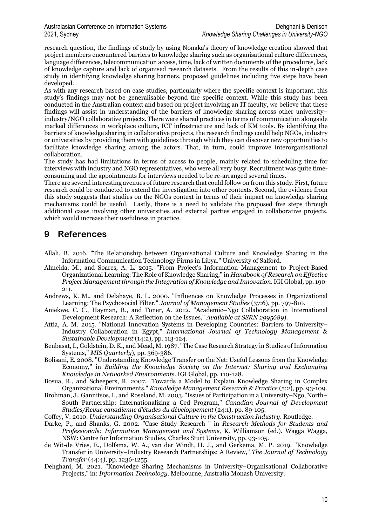research question, the findings of study by using Nonaka's theory of knowledge creation showed that project members encountered barriers to knowledge sharing such as organisational culture differences, language differences, telecommunication access, time, lack of written documents of the procedures, lack of knowledge capture and lack of organised research datasets. From the results of this in-depth case study in identifying knowledge sharing barriers, proposed guidelines including five steps have been developed.

As with any research based on case studies, particularly where the specific context is important, this study's findings may not be generalisable beyond the specific context. While this study has been conducted in the Australian context and based on project involving an IT faculty, we believe that these findings will assist in understanding of the barriers of knowledge sharing across other university– industry/NGO collaborative projects. There were shared practices in terms of communication alongside marked differences in workplace culture, ICT infrastructure and lack of KM tools. By identifying the barriers of knowledge sharing in collaborative projects, the research findings could help NGOs, industry or universities by providing them with guidelines through which they can discover new opportunities to facilitate knowledge sharing among the actors. That, in turn, could improve interorganisational collaboration.

The study has had limitations in terms of access to people, mainly related to scheduling time for interviews with industry and NGO representatives, who were all very busy. Recruitment was quite timeconsuming and the appointments for interviews needed to be re-arranged several times.

There are several interesting avenues of future research that could follow on from this study. First, future research could be conducted to extend the investigation into other contexts. Second, the evidence from this study suggests that studies on the NGOs context in terms of their impact on knowledge sharing mechanisms could be useful. Lastly, there is a need to validate the proposed five steps through additional cases involving other universities and external parties engaged in collaborative projects, which would increase their usefulness in practice.

## **9 References**

- Allali, B. 2016. "The Relationship between Organisational Culture and Knowledge Sharing in the Information Communication Technology Firms in Libya." University of Salford.
- Almeida, M., and Soares, A. L. 2015. "From Project's Information Management to Project-Based Organizational Learning: The Role of Knowledge Sharing," in *Handbook of Research on Effective Project Management through the Integration of Knowledge and Innovation*. IGI Global, pp. 190- 211.
- Andrews, K. M., and Delahaye, B. L. 2000. "Influences on Knowledge Processes in Organizational Learning: The Psychosocial Filter," *Journal of Management Studies* (37:6), pp. 797-810.
- Aniekwe, C. C., Hayman, R., and Toner, A. 2012. "Academic–Ngo Collaboration in International Development Research: A Reflection on the Issues," *Available at SSRN 2995689*).
- Attia, A. M. 2015. "National Innovation Systems in Developing Countries: Barriers to University– Industry Collaboration in Egypt," *International Journal of Technology Management & Sustainable Development* (14:2), pp. 113-124.
- Benbasat, I., Goldstein, D. K., and Mead, M. 1987. "The Case Research Strategy in Studies of Information Systems," *MIS Quarterly*), pp. 369-386.
- Bolisani, E. 2008. "Understanding Knowledge Transfer on the Net: Useful Lessons from the Knowledge Economy," in *Building the Knowledge Society on the Internet: Sharing and Exchanging Knowledge in Networked Environments*. IGI Global, pp. 110-128.
- Bosua, R., and Scheepers, R. 2007. "Towards a Model to Explain Knowledge Sharing in Complex Organizational Environments," *Knowledge Management Research & Practice* (5:2), pp. 93-109.
- Brohman, J., Gannitsos, I., and Roseland, M. 2003. "Issues of Participation in a University–Ngo, North– South Partnership: Internationalizing a Ced Program," *Canadian Journal of Development Studies/Revue canadienne d'études du développement* (24:1), pp. 89-105.
- Coffey, V. 2010. *Understanding Organisational Culture in the Construction Industry*. Routledge.
- Darke, P., and Shanks, G. 2002. "Case Study Research " in *Research Methods for Students and Professionals: Information Management and Systems,* K. Williamson (ed.). Wagga Wagga, NSW: Centre for Information Studies, Charles Sturt University, pp. 93-105.
- de Wit-de Vries, E., Dolfsma, W. A., van der Windt, H. J., and Gerkema, M. P. 2019. "Knowledge Transfer in University–Industry Research Partnerships: A Review," *The Journal of Technology Transfer* (44:4), pp. 1236-1255.
- Dehghani, M. 2021. "Knowledge Sharing Mechanisms in University–Organisational Collaborative Projects," in: *Information Technology*. Melbourne, Australia Monash University.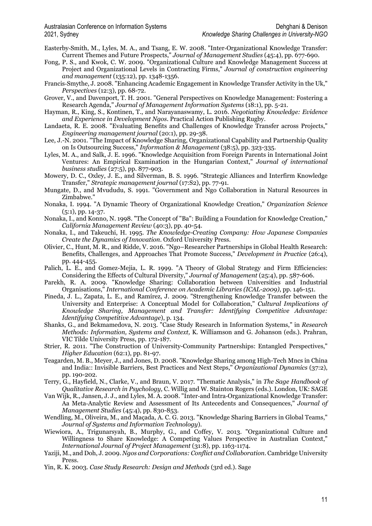- Easterby‐Smith, M., Lyles, M. A., and Tsang, E. W. 2008. "Inter‐Organizational Knowledge Transfer: Current Themes and Future Prospects," *Journal of Management Studies* (45:4), pp. 677-690.
- Fong, P. S., and Kwok, C. W. 2009. "Organizational Culture and Knowledge Management Success at Project and Organizational Levels in Contracting Firms," *Journal of construction engineering and management* (135:12), pp. 1348-1356.
- Francis‐Smythe, J. 2008. "Enhancing Academic Engagement in Knowledge Transfer Activity in the Uk," *Perspectives* (12:3), pp. 68-72.
- Grover, V., and Davenport, T. H. 2001. "General Perspectives on Knowledge Management: Fostering a Research Agenda," *Journal of Management Information Systems* (18:1), pp. 5-21.
- Hayman, R., King, S., Kontinen, T., and Narayanaswamy, L. 2016. *Negotiating Knowledge: Evidence and Experience in Development Ngos*. Practical Action Publishing Rugby.
- Landaeta, R. E. 2008. "Evaluating Benefits and Challenges of Knowledge Transfer across Projects," *Engineering management journal* (20:1), pp. 29-38.
- Lee, J.-N. 2001. "The Impact of Knowledge Sharing, Organizational Capability and Partnership Quality on Is Outsourcing Success," *Information & Management* (38:5), pp. 323-335.
- Lyles, M. A., and Salk, J. E. 1996. "Knowledge Acquisition from Foreign Parents in International Joint Ventures: An Empirical Examination in the Hungarian Context," *Journal of international business studies* (27:5), pp. 877-903.
- Mowery, D. C., Oxley, J. E., and Silverman, B. S. 1996. "Strategic Alliances and Interfirm Knowledge Transfer," *Strategic management journal* (17:S2), pp. 77-91.
- Mungate, D., and Mvududu, S. 1991. "Government and Ngo Collaboration in Natural Resources in Zimbabwe."
- Nonaka, I. 1994. "A Dynamic Theory of Organizational Knowledge Creation," *Organization Science* (5:1), pp. 14-37.
- Nonaka, I., and Konno, N. 1998. "The Concept of "Ba": Building a Foundation for Knowledge Creation," *California Management Review* (40:3), pp. 40-54.
- Nonaka, I., and Takeuchi, H. 1995. *The Knowledge-Creating Company: How Japanese Companies Create the Dynamics of Innovation*. Oxford University Press.
- Olivier, C., Hunt, M. R., and Ridde, V. 2016. "Ngo–Researcher Partnerships in Global Health Research: Benefits, Challenges, and Approaches That Promote Success," *Development in Practice* (26:4), pp. 444-455.
- Palich, L. E., and Gomez-Mejia, L. R. 1999. "A Theory of Global Strategy and Firm Efficiencies: Considering the Effects of Cultural Diversity," *Journal of Management* (25:4), pp. 587-606.
- Parekh, R. A. 2009. "Knowledge Sharing: Collaboration between Universities and Industrial Organisations," *International Conference on Academic Libraries (ICAL-2009)*, pp. 146-151.
- Pineda, J. L., Zapata, L. E., and Ramírez, J. 2009. "Strengthening Knowledge Transfer between the University and Enterprise: A Conceptual Model for Collaboration," *Cultural Implications of Knowledge Sharing, Management and Transfer: Identifying Competitive Advantage: Identifying Competitive Advantage*), p. 134.
- Shanks, G., and Bekmamedova, N. 2013. "Case Study Research in Information Systems," in *Research Methods: Information, Systems and Context,* K. Williamson and G. Johanson (eds.). Prahran, VIC Tilde University Press, pp. 172-187.
- Strier, R. 2011. "The Construction of University-Community Partnerships: Entangled Perspectives," *Higher Education* (62:1), pp. 81-97.
- Teagarden, M. B., Meyer, J., and Jones, D. 2008. "Knowledge Sharing among High-Tech Mncs in China and India:: Invisible Barriers, Best Practices and Next Steps," *Organizational Dynamics* (37:2), pp. 190-202.
- Terry, G., Hayfield, N., Clarke, V., and Braun, V. 2017. "Thematic Analysis," in *The Sage Handbook of Qualitative Research in Psychology,* C. Willig and W. Stainton Rogers (eds.). London, UK: SAGE
- Van Wijk, R., Jansen, J. J., and Lyles, M. A. 2008. "Inter‐and Intra‐Organizational Knowledge Transfer: Aa Meta‐Analytic Review and Assessment of Its Antecedents and Consequences," *Journal of Management Studies* (45:4), pp. 830-853.
- Wendling, M., Oliveira, M., and Maçada, A. C. G. 2013. "Knowledge Sharing Barriers in Global Teams," *Journal of Systems and Information Technology*).
- Wiewiora, A., Trigunarsyah, B., Murphy, G., and Coffey, V. 2013. "Organizational Culture and Willingness to Share Knowledge: A Competing Values Perspective in Australian Context," *International Journal of Project Management* (31:8), pp. 1163-1174.
- Yaziji, M., and Doh, J. 2009. *Ngos and Corporations: Conflict and Collaboration*. Cambridge University Press.
- Yin, R. K. 2003. *Case Study Research: Design and Methods* (3rd ed.). Sage